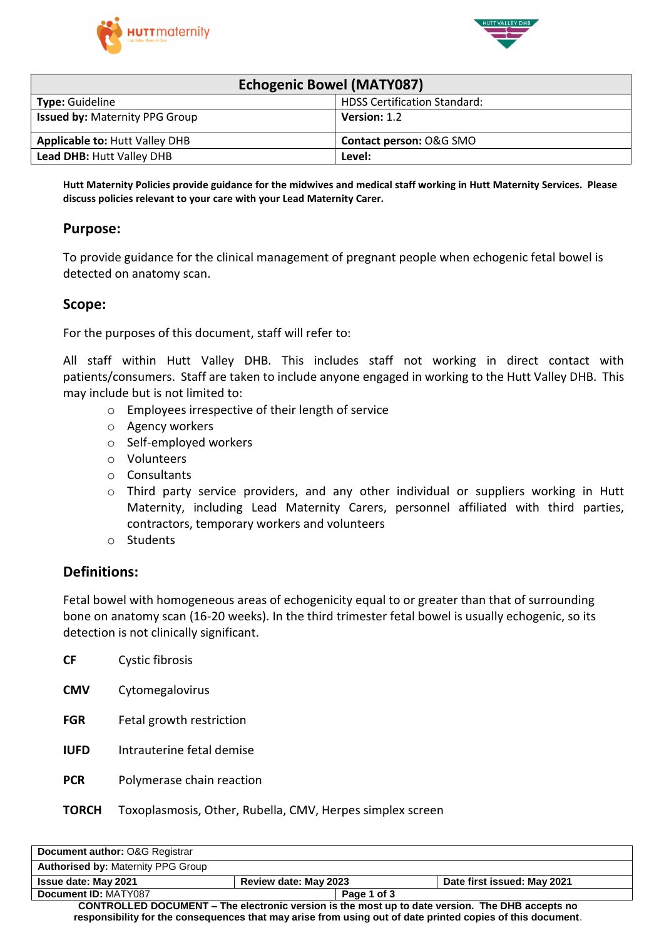



| <b>Echogenic Bowel (MATY087)</b>      |                                     |  |  |  |
|---------------------------------------|-------------------------------------|--|--|--|
| <b>Type: Guideline</b>                | <b>HDSS Certification Standard:</b> |  |  |  |
| <b>Issued by: Maternity PPG Group</b> | Version: 1.2                        |  |  |  |
| <b>Applicable to: Hutt Valley DHB</b> | Contact person: O&G SMO             |  |  |  |
| <b>Lead DHB: Hutt Valley DHB</b>      | Level:                              |  |  |  |

Hutt Maternity Policies provide guidance for the midwives and medical staff working in Hutt Maternity Services. Please **discuss policies relevant to your care with your Lead Maternity Carer.**

#### **Purpose:**

To provide guidance for the clinical management of pregnant people when echogenic fetal bowel is detected on anatomy scan.

#### **Scope:**

For the purposes of this document, staff will refer to:

All staff within Hutt Valley DHB. This includes staff not working in direct contact with patients/consumers. Staff are taken to include anyone engaged in working to the Hutt Valley DHB. This may include but is not limited to:

- o Employees irrespective of their length of service
- o Agency workers
- o Self-employed workers
- o Volunteers
- o Consultants
- o Third party service providers, and any other individual or suppliers working in Hutt Maternity, including Lead Maternity Carers, personnel affiliated with third parties, contractors, temporary workers and volunteers
- o Students

#### **Definitions:**

Fetal bowel with homogeneous areas of echogenicity equal to or greater than that of surrounding bone on anatomy scan (16-20 weeks). In the third trimester fetal bowel is usually echogenic, so its detection is not clinically significant.

| <b>CF</b>   | Cystic fibrosis           |
|-------------|---------------------------|
| <b>CMV</b>  | Cytomegalovirus           |
| <b>FGR</b>  | Fetal growth restriction  |
| <b>IUFD</b> | Intrauterine fetal demise |
| <b>PCR</b>  | Polymerase chain reaction |
|             |                           |

#### **TORCH** Toxoplasmosis, Other, Rubella, CMV, Herpes simplex screen

| Document author: O&G Registrar                                                                             |                              |                             |  |  |
|------------------------------------------------------------------------------------------------------------|------------------------------|-----------------------------|--|--|
| <b>Authorised by: Maternity PPG Group</b>                                                                  |                              |                             |  |  |
| <b>Issue date: May 2021</b>                                                                                | <b>Review date: May 2023</b> | Date first issued: May 2021 |  |  |
| Document ID: MATY087                                                                                       |                              | Page 1 of 3                 |  |  |
| CONTROLLED DOCUMENT – The electronic version is the most up to date version. The DHB accepts no            |                              |                             |  |  |
| responsibility for the consequences that may arise from using out of date printed copies of this document. |                              |                             |  |  |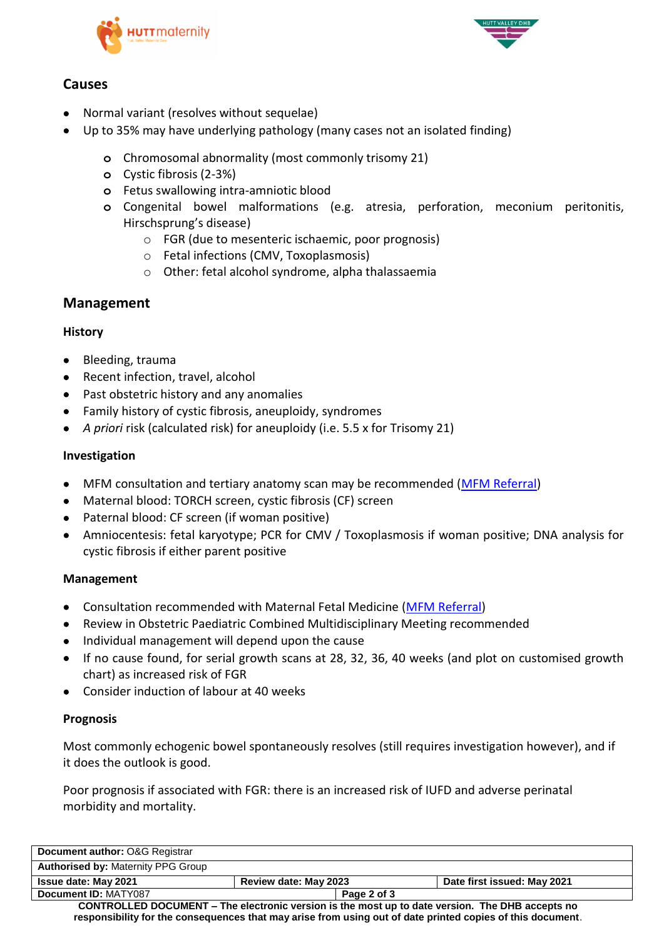



# **Causes**

- Normal variant (resolves without sequelae)
- Up to 35% may have underlying pathology (many cases not an isolated finding)
	- **o** Chromosomal abnormality (most commonly trisomy 21)
	- **o** Cystic fibrosis (2-3%)
	- **o** Fetus swallowing intra-amniotic blood
	- **o** Congenital bowel malformations (e.g. atresia, perforation, meconium peritonitis, Hirschsprung's disease)
		- o FGR (due to mesenteric ischaemic, poor prognosis)
		- o Fetal infections (CMV, Toxoplasmosis)
		- o Other: fetal alcohol syndrome, alpha thalassaemia

### **Management**

### **History**

- Bleeding, trauma
- Recent infection, travel, alcohol
- Past obstetric history and any anomalies
- Family history of cystic fibrosis, aneuploidy, syndromes
- *A priori* risk (calculated risk) for aneuploidy (i.e. 5.5 x for Trisomy 21)

### **Investigation**

- MFM consultation and tertiary anatomy scan may be recommended [\(MFM Referral\)](https://www.ccdhb.org.nz/working-with-us/nursing-and-midwifery/midwifery-careers-at-ccdhb/forms-and-guides-for-lmc-midwives/maternal-fetal-medicine-referral-form.pdf)
- Maternal blood: TORCH screen, cystic fibrosis (CF) screen
- Paternal blood: CF screen (if woman positive)
- Amniocentesis: fetal karyotype; PCR for CMV / Toxoplasmosis if woman positive; DNA analysis for cystic fibrosis if either parent positive

### **Management**

- Consultation recommended with Maternal Fetal Medicine [\(MFM Referral\)](https://www.ccdhb.org.nz/working-with-us/nursing-and-midwifery/midwifery-careers-at-ccdhb/forms-and-guides-for-lmc-midwives/maternal-fetal-medicine-referral-form.pdf)
- Review in Obstetric Paediatric Combined Multidisciplinary Meeting recommended
- Individual management will depend upon the cause
- If no cause found, for serial growth scans at 28, 32, 36, 40 weeks (and plot on customised growth chart) as increased risk of FGR
- Consider induction of labour at 40 weeks

### **Prognosis**

Most commonly echogenic bowel spontaneously resolves (still requires investigation however), and if it does the outlook is good.

Poor prognosis if associated with FGR: there is an increased risk of IUFD and adverse perinatal morbidity and mortality.

| Document author: O&G Registrar                                                                             |                       |             |                             |  |
|------------------------------------------------------------------------------------------------------------|-----------------------|-------------|-----------------------------|--|
| <b>Authorised by: Maternity PPG Group</b>                                                                  |                       |             |                             |  |
| <b>Issue date: May 2021</b>                                                                                | Review date: May 2023 |             | Date first issued: May 2021 |  |
| Document ID: MATY087                                                                                       |                       | Page 2 of 3 |                             |  |
| CONTROLLED DOCUMENT – The electronic version is the most up to date version. The DHB accepts no            |                       |             |                             |  |
| responsibility for the consequences that may arise from using out of date printed copies of this document. |                       |             |                             |  |